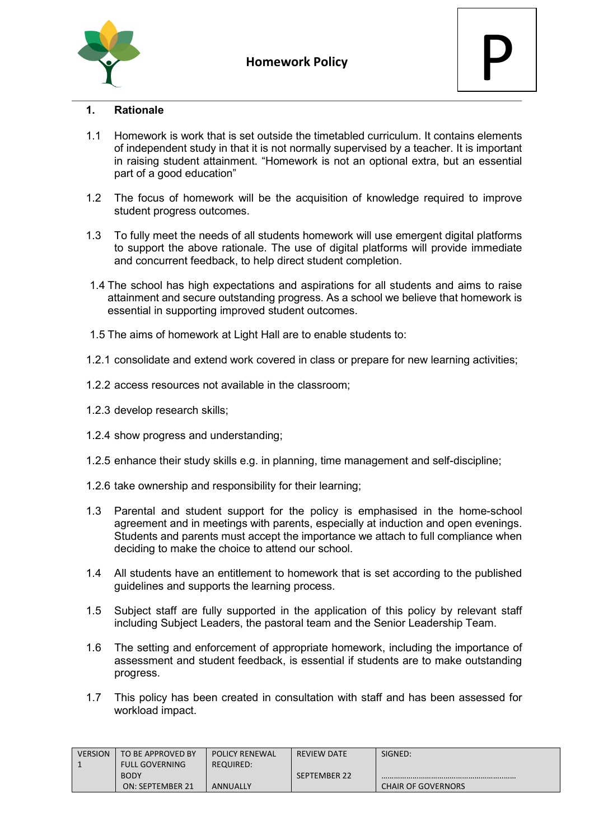



## **1. Rationale**

- 1.1 Homework is work that is set outside the timetabled curriculum. It contains elements of independent study in that it is not normally supervised by a teacher. It is important in raising student attainment. "Homework is not an optional extra, but an essential part of a good education"
- 1.2 The focus of homework will be the acquisition of knowledge required to improve student progress outcomes.
- 1.3 To fully meet the needs of all students homework will use emergent digital platforms to support the above rationale. The use of digital platforms will provide immediate and concurrent feedback, to help direct student completion.
- 1.4 The school has high expectations and aspirations for all students and aims to raise attainment and secure outstanding progress. As a school we believe that homework is essential in supporting improved student outcomes.
- 1.5 The aims of homework at Light Hall are to enable students to:
- 1.2.1 consolidate and extend work covered in class or prepare for new learning activities;
- 1.2.2 access resources not available in the classroom;
- 1.2.3 develop research skills;
- 1.2.4 show progress and understanding;
- 1.2.5 enhance their study skills e.g. in planning, time management and self-discipline;
- 1.2.6 take ownership and responsibility for their learning;
- 1.3 Parental and student support for the policy is emphasised in the home-school agreement and in meetings with parents, especially at induction and open evenings. Students and parents must accept the importance we attach to full compliance when deciding to make the choice to attend our school.
- 1.4 All students have an entitlement to homework that is set according to the published guidelines and supports the learning process.
- 1.5 Subject staff are fully supported in the application of this policy by relevant staff including Subject Leaders, the pastoral team and the Senior Leadership Team.
- 1.6 The setting and enforcement of appropriate homework, including the importance of assessment and student feedback, is essential if students are to make outstanding progress.
- 1.7 This policy has been created in consultation with staff and has been assessed for workload impact.

| <b>VERSION</b> | TO BE APPROVED BY     | <b>POLICY RENEWAL</b> | <b>REVIEW DATE</b> | SIGNED:                   |
|----------------|-----------------------|-----------------------|--------------------|---------------------------|
|                | <b>FULL GOVERNING</b> | REQUIRED:             |                    |                           |
|                | <b>BODY</b>           |                       | SEPTEMBER 22       |                           |
|                | ON: SEPTEMBER 21      | <b>ANNUALLY</b>       |                    | <b>CHAIR OF GOVERNORS</b> |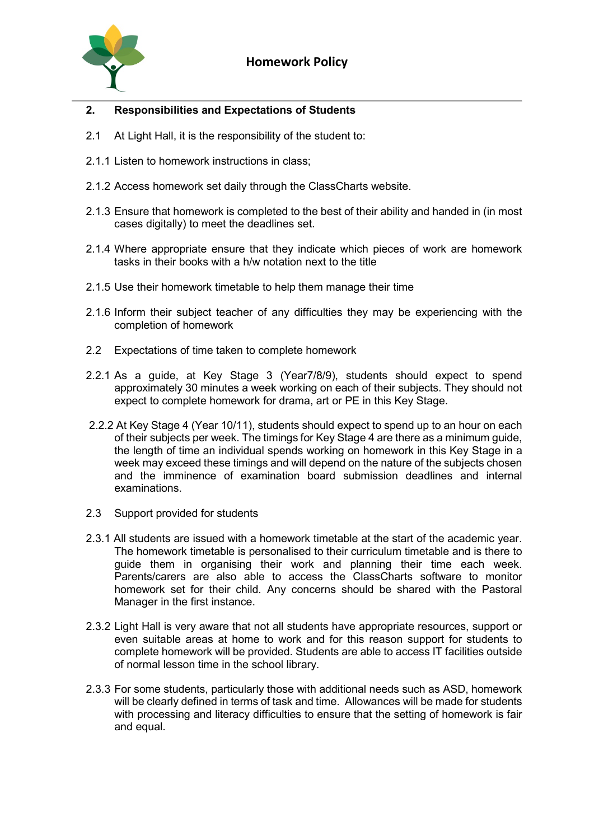

## **2. Responsibilities and Expectations of Students**

- 2.1 At Light Hall, it is the responsibility of the student to:
- 2.1.1 Listen to homework instructions in class;
- 2.1.2 Access homework set daily through the ClassCharts website.
- 2.1.3 Ensure that homework is completed to the best of their ability and handed in (in most cases digitally) to meet the deadlines set.
- 2.1.4 Where appropriate ensure that they indicate which pieces of work are homework tasks in their books with a h/w notation next to the title
- 2.1.5 Use their homework timetable to help them manage their time
- 2.1.6 Inform their subject teacher of any difficulties they may be experiencing with the completion of homework
- 2.2 Expectations of time taken to complete homework
- 2.2.1 As a guide, at Key Stage 3 (Year7/8/9), students should expect to spend approximately 30 minutes a week working on each of their subjects. They should not expect to complete homework for drama, art or PE in this Key Stage.
- 2.2.2 At Key Stage 4 (Year 10/11), students should expect to spend up to an hour on each of their subjects per week. The timings for Key Stage 4 are there as a minimum guide, the length of time an individual spends working on homework in this Key Stage in a week may exceed these timings and will depend on the nature of the subjects chosen and the imminence of examination board submission deadlines and internal examinations.
- 2.3 Support provided for students
- 2.3.1 All students are issued with a homework timetable at the start of the academic year. The homework timetable is personalised to their curriculum timetable and is there to guide them in organising their work and planning their time each week. Parents/carers are also able to access the ClassCharts software to monitor homework set for their child. Any concerns should be shared with the Pastoral Manager in the first instance.
- 2.3.2 Light Hall is very aware that not all students have appropriate resources, support or even suitable areas at home to work and for this reason support for students to complete homework will be provided. Students are able to access IT facilities outside of normal lesson time in the school library.
- 2.3.3 For some students, particularly those with additional needs such as ASD, homework will be clearly defined in terms of task and time. Allowances will be made for students with processing and literacy difficulties to ensure that the setting of homework is fair and equal.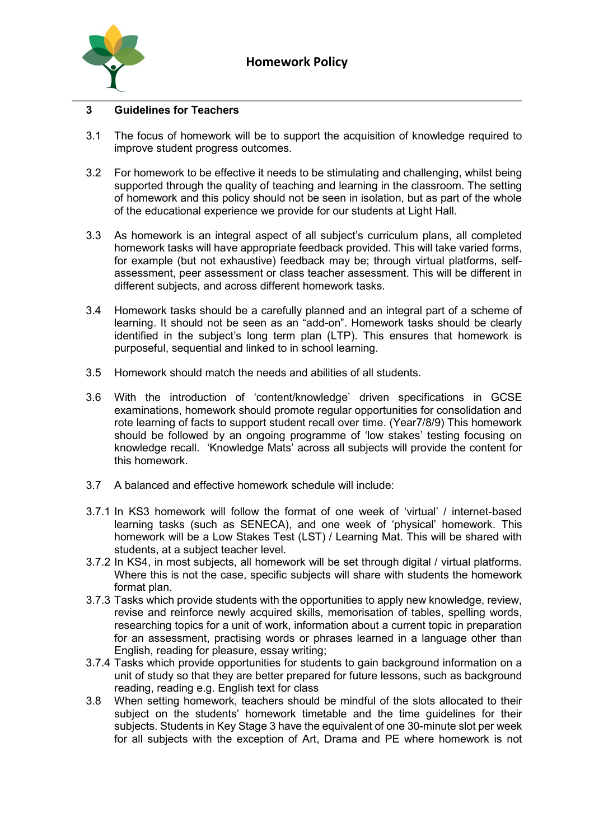

## **3 Guidelines for Teachers**

- 3.1 The focus of homework will be to support the acquisition of knowledge required to improve student progress outcomes.
- 3.2 For homework to be effective it needs to be stimulating and challenging, whilst being supported through the quality of teaching and learning in the classroom. The setting of homework and this policy should not be seen in isolation, but as part of the whole of the educational experience we provide for our students at Light Hall.
- 3.3 As homework is an integral aspect of all subject's curriculum plans, all completed homework tasks will have appropriate feedback provided. This will take varied forms, for example (but not exhaustive) feedback may be; through virtual platforms, selfassessment, peer assessment or class teacher assessment. This will be different in different subjects, and across different homework tasks.
- 3.4 Homework tasks should be a carefully planned and an integral part of a scheme of learning. It should not be seen as an "add-on". Homework tasks should be clearly identified in the subject's long term plan (LTP). This ensures that homework is purposeful, sequential and linked to in school learning.
- 3.5 Homework should match the needs and abilities of all students.
- 3.6 With the introduction of 'content/knowledge' driven specifications in GCSE examinations, homework should promote regular opportunities for consolidation and rote learning of facts to support student recall over time. (Year7/8/9) This homework should be followed by an ongoing programme of 'low stakes' testing focusing on knowledge recall. 'Knowledge Mats' across all subjects will provide the content for this homework.
- 3.7 A balanced and effective homework schedule will include:
- 3.7.1 In KS3 homework will follow the format of one week of 'virtual' / internet-based learning tasks (such as SENECA), and one week of 'physical' homework. This homework will be a Low Stakes Test (LST) / Learning Mat. This will be shared with students, at a subject teacher level.
- 3.7.2 In KS4, in most subjects, all homework will be set through digital / virtual platforms. Where this is not the case, specific subjects will share with students the homework format plan.
- 3.7.3 Tasks which provide students with the opportunities to apply new knowledge, review, revise and reinforce newly acquired skills, memorisation of tables, spelling words, researching topics for a unit of work, information about a current topic in preparation for an assessment, practising words or phrases learned in a language other than English, reading for pleasure, essay writing;
- 3.7.4 Tasks which provide opportunities for students to gain background information on a unit of study so that they are better prepared for future lessons, such as background reading, reading e.g. English text for class
- 3.8 When setting homework, teachers should be mindful of the slots allocated to their subject on the students' homework timetable and the time guidelines for their subjects. Students in Key Stage 3 have the equivalent of one 30-minute slot per week for all subjects with the exception of Art, Drama and PE where homework is not